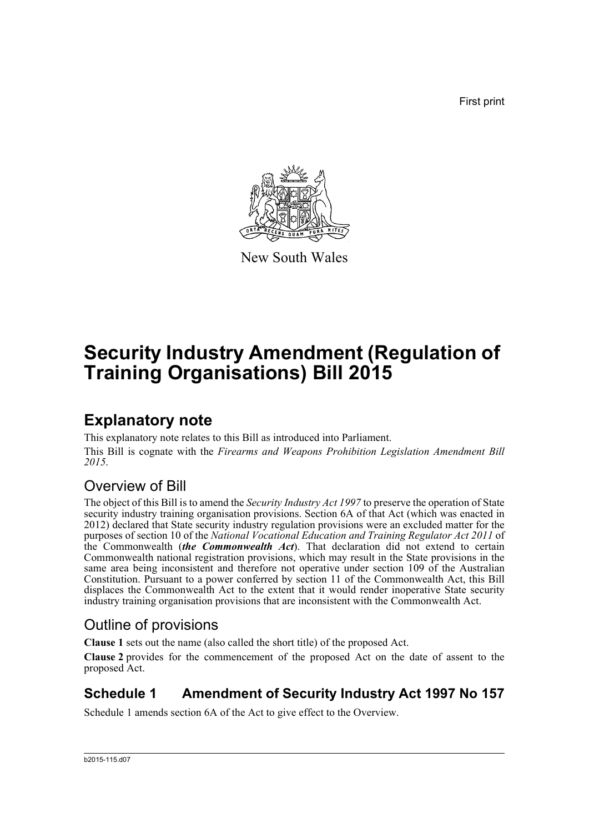First print



New South Wales

# **Security Industry Amendment (Regulation of Training Organisations) Bill 2015**

## **Explanatory note**

This explanatory note relates to this Bill as introduced into Parliament. This Bill is cognate with the *Firearms and Weapons Prohibition Legislation Amendment Bill 2015*.

## Overview of Bill

The object of this Bill is to amend the *Security Industry Act 1997* to preserve the operation of State security industry training organisation provisions. Section 6A of that Act (which was enacted in 2012) declared that State security industry regulation provisions were an excluded matter for the purposes of section 10 of the *National Vocational Education and Training Regulator Act 2011* of the Commonwealth (*the Commonwealth Act*). That declaration did not extend to certain Commonwealth national registration provisions, which may result in the State provisions in the same area being inconsistent and therefore not operative under section 109 of the Australian Constitution. Pursuant to a power conferred by section 11 of the Commonwealth Act, this Bill displaces the Commonwealth Act to the extent that it would render inoperative State security industry training organisation provisions that are inconsistent with the Commonwealth Act.

### Outline of provisions

**Clause 1** sets out the name (also called the short title) of the proposed Act.

**Clause 2** provides for the commencement of the proposed Act on the date of assent to the proposed Act.

### **Schedule 1 Amendment of Security Industry Act 1997 No 157**

Schedule 1 amends section 6A of the Act to give effect to the Overview.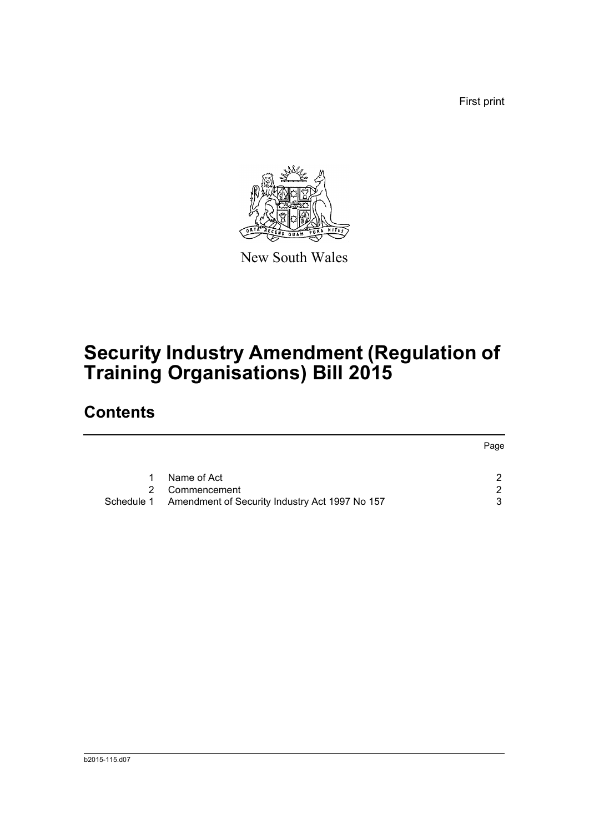First print



New South Wales

# **Security Industry Amendment (Regulation of Training Organisations) Bill 2015**

## **Contents**

|   |                                                           | Page          |
|---|-----------------------------------------------------------|---------------|
|   | Name of Act                                               | $\mathcal{P}$ |
| 2 | Commencement                                              | 2             |
|   | Schedule 1 Amendment of Security Industry Act 1997 No 157 | 3             |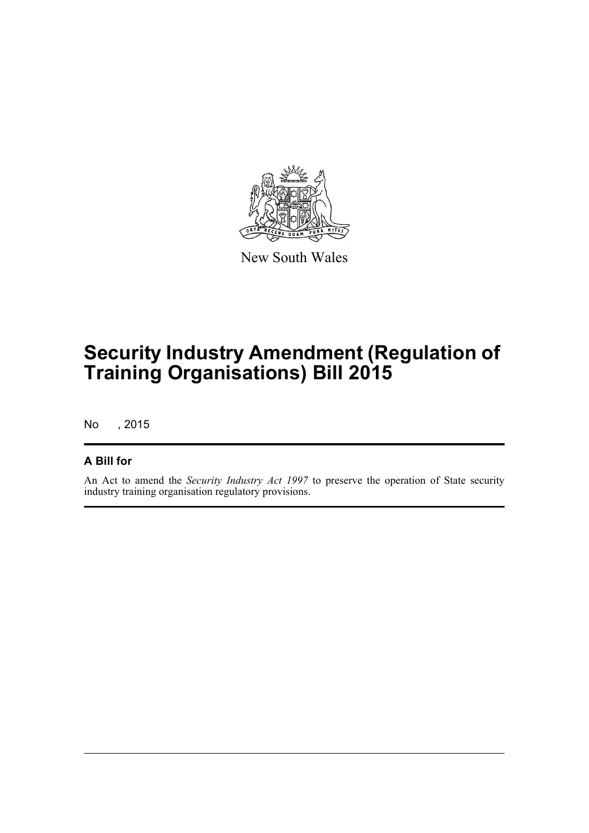

New South Wales

# **Security Industry Amendment (Regulation of Training Organisations) Bill 2015**

No , 2015

### **A Bill for**

An Act to amend the *Security Industry Act 1997* to preserve the operation of State security industry training organisation regulatory provisions.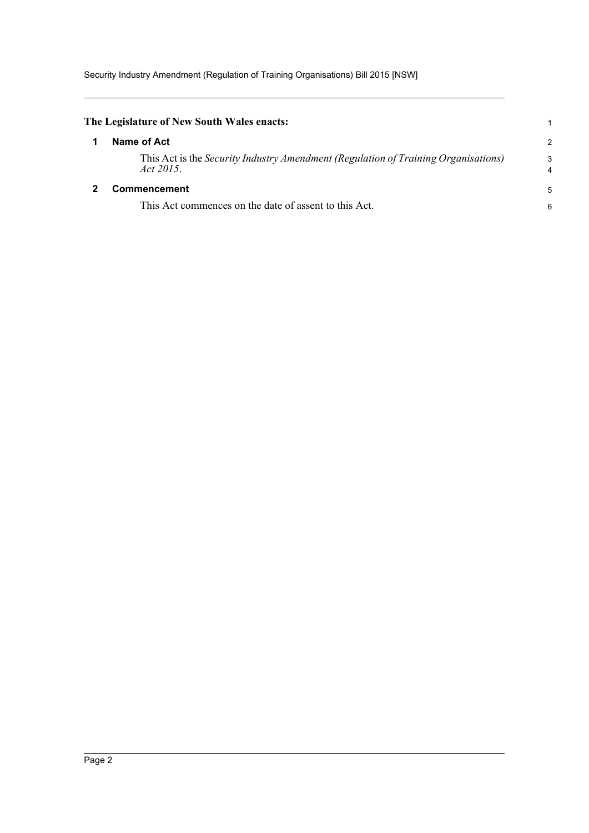<span id="page-3-1"></span><span id="page-3-0"></span>

| The Legislature of New South Wales enacts: |                                                                                                        |                |
|--------------------------------------------|--------------------------------------------------------------------------------------------------------|----------------|
|                                            | Name of Act                                                                                            | $\overline{c}$ |
|                                            | This Act is the <i>Security Industry Amendment (Regulation of Training Organisations)</i><br>Act 2015. | 3<br>4         |
|                                            | <b>Commencement</b>                                                                                    | 5              |
|                                            | This Act commences on the date of assent to this Act.                                                  | 6              |
|                                            |                                                                                                        |                |